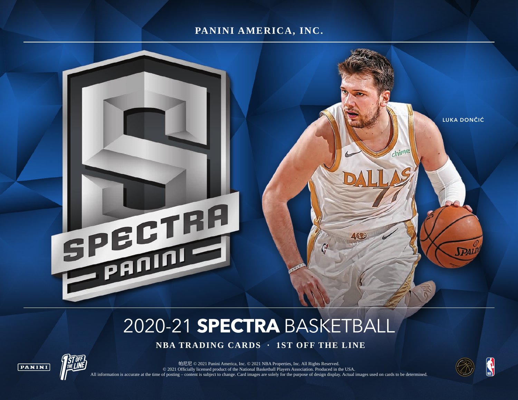## **PANINI AMERICA, INC.**



# 2020-21 **SPECTRA** BASKETBALL

 **NBA TRADING CARDS · 1ST OFF THE LINE**



帕尼尼 © 2021 Panini America, Inc. © 2021 NBA Properties, Inc. All Rights Reserved. © 2021 Officially licensed product of the National Basketball Players Association. Produced in the USA. All information is accurate at the time of posting – content is subject to change. Card images are solely for the purpose of design display. Actual images used on cards to be determined.

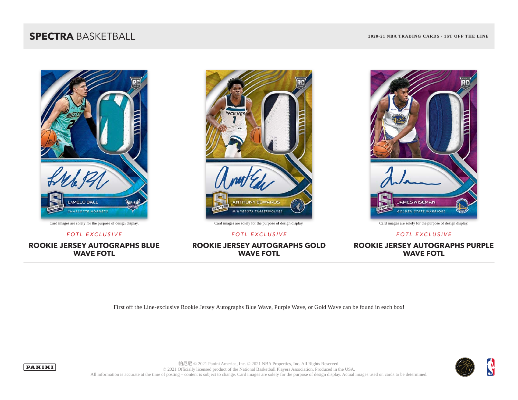## **SPECTRA** BASKETBALL **2020-21 NBA TRADING CARDS · 1ST OFF THE LINE**



Card images are solely for the purpose of design display. Card images are solely for the purpose of design display. Card images are solely for the purpose of design display.

#### **ROOKIE JERSEY AUTOGRAPHS BLUE WAVE FOTL**



**ROOKIE JERSEY AUTOGRAPHS GOLD WAVE FOTL**



*FOTL EXCLUSIVE FOTL EXCLUSIVE FOTL EXCLUSIVE*

**ROOKIE JERSEY AUTOGRAPHS PURPLE WAVE FOTL**

First off the Line-exclusive Rookie Jersey Autographs Blue Wave, Purple Wave, or Gold Wave can be found in each box!





帕尼尼 © 2021 Panini America, Inc. © 2021 NBA Properties, Inc. All Rights Reserved. © 2021 Officially licensed product of the National Basketball Players Association. Produced in the USA. All information is accurate at the time of posting – content is subject to change. Card images are solely for the purpose of design display. Actual images used on cards to be determined.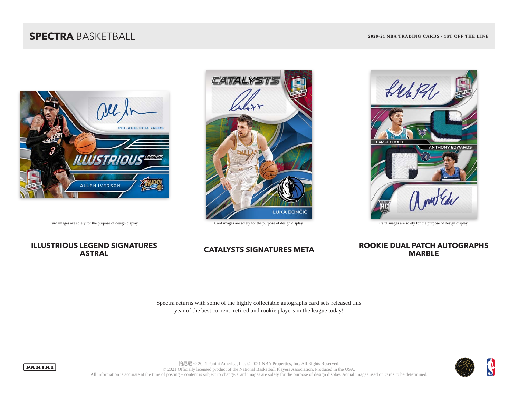## **SPECTRA** BASKETBALL **2020-21 NBA TRADING CARDS · 1ST OFF THE LINE**



# **CATALYST LUKA DONČIĆ**



Card images are solely for the purpose of design display. Card images are solely for the purpose of design display. Card images are solely for the purpose of design display.

# **ILLUSTRIOUS LEGEND SIGNATURES**

#### **CATALYSTS SIGNATURES META ROOKIE DUAL PATCH AUTOGRAPHS MARBLE**

Spectra returns with some of the highly collectable autographs card sets released this year of the best current, retired and rookie players in the league today!



帕尼尼 © 2021 Panini America, Inc. © 2021 NBA Properties, Inc. All Rights Reserved. © 2021 Officially licensed product of the National Basketball Players Association. Produced in the USA. All information is accurate at the time of posting – content is subject to change. Card images are solely for the purpose of design display. Actual images used on cards to be determined.

**PANINI**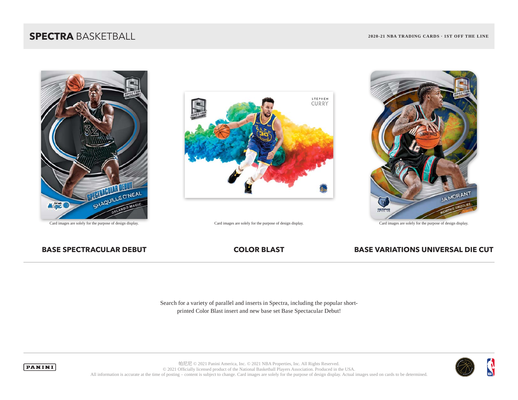## **SPECTRA** BASKETBALL **2020-21 NBA TRADING CARDS · 1ST OFF THE LINE**





Card images are solely for the purpose of design display. Card images are solely for the purpose of design display. Card images are solely for the purpose of design display.



#### **BASE SPECTRACULAR DEBUT COLOR BLAST BASE VARIATIONS UNIVERSAL DIE CUT**

Search for a variety of parallel and inserts in Spectra, including the popular shortprinted Color Blast insert and new base set Base Spectacular Debut!



帕尼尼 © 2021 Panini America, Inc. © 2021 NBA Properties, Inc. All Rights Reserved. © 2021 Officially licensed product of the National Basketball Players Association. Produced in the USA. All information is accurate at the time of posting – content is subject to change. Card images are solely for the purpose of design display. Actual images used on cards to be determined.